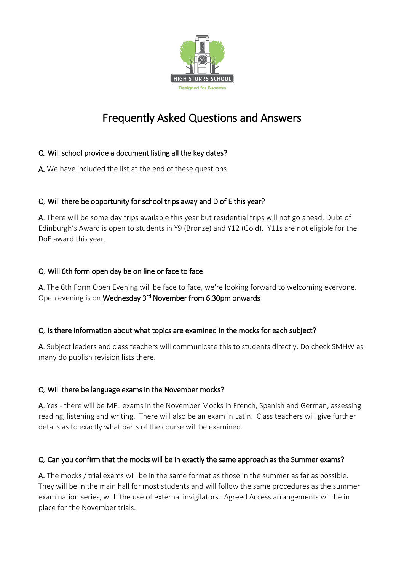

# Frequently Asked Questions and Answers

# Q. Will school provide a document listing all the key dates?

A. We have included the list at the end of these questions

## Q. Will there be opportunity for school trips away and D of E this year?

A. There will be some day trips available this year but residential trips will not go ahead. Duke of Edinburgh's Award is open to students in Y9 (Bronze) and Y12 (Gold). Y11s are not eligible for the DoE award this year.

## Q. Will 6th form open day be on line or face to face

A. The 6th Form Open Evening will be face to face, we're looking forward to welcoming everyone. Open evening is on **Wednesday 3<sup>rd</sup> November from 6.30pm onwards**.

## Q. Is there information about what topics are examined in the mocks for each subject?

A. Subject leaders and class teachers will communicate this to students directly. Do check SMHW as many do publish revision lists there.

# Q. Will there be language exams in the November mocks?

A. Yes - there will be MFL exams in the November Mocks in French, Spanish and German, assessing reading, listening and writing. There will also be an exam in Latin. Class teachers will give further details as to exactly what parts of the course will be examined.

## Q. Can you confirm that the mocks will be in exactly the same approach as the Summer exams?

A. The mocks / trial exams will be in the same format as those in the summer as far as possible. They will be in the main hall for most students and will follow the same procedures as the summer examination series, with the use of external invigilators. Agreed Access arrangements will be in place for the November trials.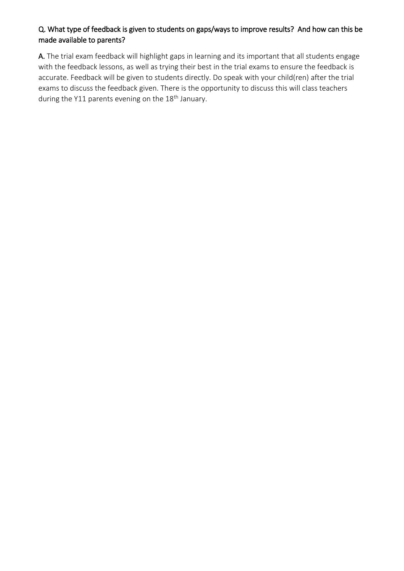# Q. What type of feedback is given to students on gaps/ways to improve results? And how can this be made available to parents?

A. The trial exam feedback will highlight gaps in learning and its important that all students engage with the feedback lessons, as well as trying their best in the trial exams to ensure the feedback is accurate. Feedback will be given to students directly. Do speak with your child(ren) after the trial exams to discuss the feedback given. There is the opportunity to discuss this will class teachers during the Y11 parents evening on the 18<sup>th</sup> January.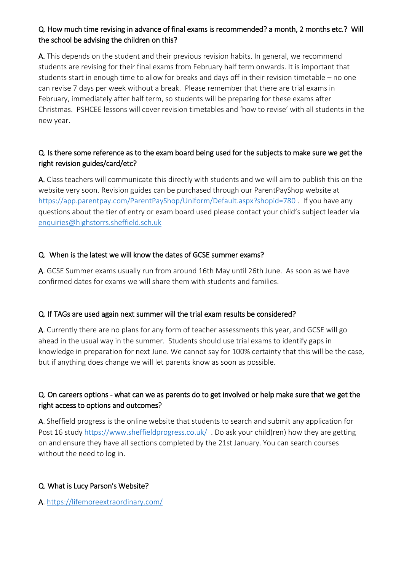# Q. How much time revising in advance of final exams is recommended? a month, 2 months etc.? Will the school be advising the children on this?

A. This depends on the student and their previous revision habits. In general, we recommend students are revising for their final exams from February half term onwards. It is important that students start in enough time to allow for breaks and days off in their revision timetable – no one can revise 7 days per week without a break. Please remember that there are trial exams in February, immediately after half term, so students will be preparing for these exams after Christmas. PSHCEE lessons will cover revision timetables and 'how to revise' with all students in the new year.

# Q. Is there some reference as to the exam board being used for the subjects to make sure we get the right revision guides/card/etc?

A. Class teachers will communicate this directly with students and we will aim to publish this on the website very soon. Revision guides can be purchased through our ParentPayShop website at <https://app.parentpay.com/ParentPayShop/Uniform/Default.aspx?shopid=780> . If you have any questions about the tier of entry or exam board used please contact your child's subject leader via [enquiries@highstorrs.sheffield.sch.uk](mailto:enquiries@highstorrs.sheffield.sch.uk)

## Q. When is the latest we will know the dates of GCSE summer exams?

A. GCSE Summer exams usually run from around 16th May until 26th June. As soon as we have confirmed dates for exams we will share them with students and families.

## Q. If TAGs are used again next summer will the trial exam results be considered?

A. Currently there are no plans for any form of teacher assessments this year, and GCSE will go ahead in the usual way in the summer. Students should use trial exams to identify gaps in knowledge in preparation for next June. We cannot say for 100% certainty that this will be the case, but if anything does change we will let parents know as soon as possible.

# Q. On careers options - what can we as parents do to get involved or help make sure that we get the right access to options and outcomes?

A. Sheffield progress is the online website that students to search and submit any application for Post 16 study<https://www.sheffieldprogress.co.uk/>. Do ask your child(ren) how they are getting on and ensure they have all sections completed by the 21st January. You can search courses without the need to log in.

## Q. What is Lucy Parson's Website?

A.<https://lifemoreextraordinary.com/>